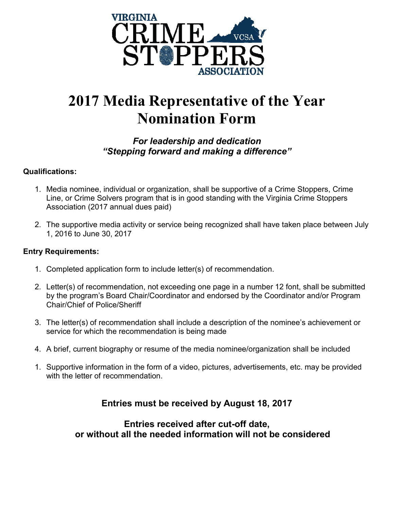

# **2017 Media Representative of the Year Nomination Form**

### *For leadership and dedication "Stepping forward and making a difference"*

#### **Qualifications:**

- 1. Media nominee, individual or organization, shall be supportive of a Crime Stoppers, Crime Line, or Crime Solvers program that is in good standing with the Virginia Crime Stoppers Association (2017 annual dues paid)
- 2. The supportive media activity or service being recognized shall have taken place between July 1, 2016 to June 30, 2017

#### **Entry Requirements:**

- 1. Completed application form to include letter(s) of recommendation.
- 2. Letter(s) of recommendation, not exceeding one page in a number 12 font, shall be submitted by the program's Board Chair/Coordinator and endorsed by the Coordinator and/or Program Chair/Chief of Police/Sheriff
- 3. The letter(s) of recommendation shall include a description of the nominee's achievement or service for which the recommendation is being made
- 4. A brief, current biography or resume of the media nominee/organization shall be included
- 1. Supportive information in the form of a video, pictures, advertisements, etc. may be provided with the letter of recommendation.

## **Entries must be received by August 18, 2017**

**Entries received after cut-off date, or without all the needed information will not be considered**